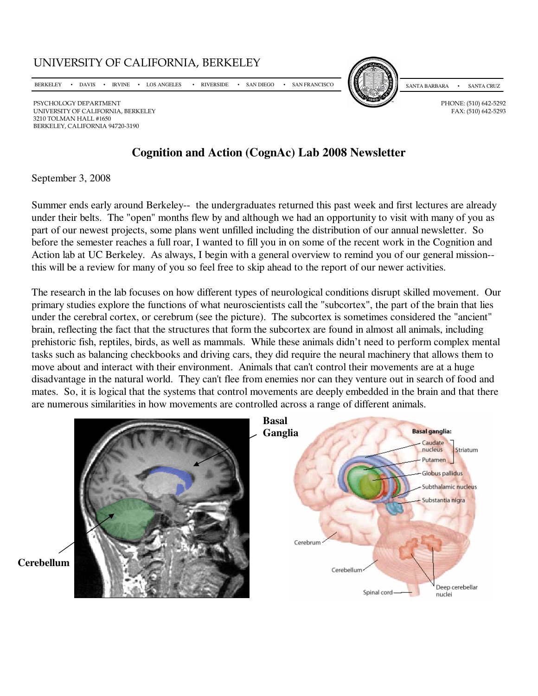UNIVERSITY OF CALIFORNIA, BERKELEY

BERKELEY • DAVIS • IRVINE • LOS ANGELES • RIVERSIDE • SAN DIEGO • SAN FRANCISCO

PSYCHOLOGY DEPARTMENT PHONE: (510) 642-5292<br>UNIVERSITY OF CALIFORNIA, BERKELEY FAX: (510) 642-5293 UNIVERSITY OF CALIFORNIA, BERKELEY 3210 TOLMAN HALL #1650 BERKELEY, CALIFORNIA 94720-3190

# **Cognition and Action (CognAc) Lab 2008 Newsletter**

## September 3, 2008

Summer ends early around Berkeley-- the undergraduates returned this past week and first lectures are already under their belts. The "open" months flew by and although we had an opportunity to visit with many of you as part of our newest projects, some plans went unfilled including the distribution of our annual newsletter. So before the semester reaches a full roar, I wanted to fill you in on some of the recent work in the Cognition and Action lab at UC Berkeley. As always, I begin with a general overview to remind you of our general mission- this will be a review for many of you so feel free to skip ahead to the report of our newer activities.

The research in the lab focuses on how different types of neurological conditions disrupt skilled movement. Our primary studies explore the functions of what neuroscientists call the "subcortex", the part of the brain that lies under the cerebral cortex, or cerebrum (see the picture). The subcortex is sometimes considered the "ancient" brain, reflecting the fact that the structures that form the subcortex are found in almost all animals, including prehistoric fish, reptiles, birds, as well as mammals. While these animals didn't need to perform complex mental tasks such as balancing checkbooks and driving cars, they did require the neural machinery that allows them to move about and interact with their environment. Animals that can't control their movements are at a huge disadvantage in the natural world. They can't flee from enemies nor can they venture out in search of food and mates. So, it is logical that the systems that control movements are deeply embedded in the brain and that there are numerous similarities in how movements are controlled across a range of different animals.





SANTA BARBARA • SANTA CRUZ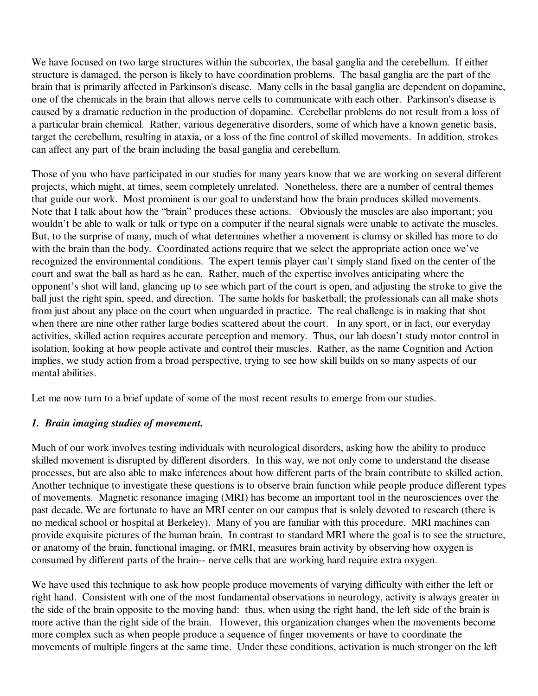We have focused on two large structures within the subcortex, the basal ganglia and the cerebellum. If either structure is damaged, the person is likely to have coordination problems. The basal ganglia are the part of the brain that is primarily affected in Parkinson's disease. Many cells in the basal ganglia are dependent on dopamine, one of the chemicals in the brain that allows nerve cells to communicate with each other. Parkinson's disease is caused by a dramatic reduction in the production of dopamine. Cerebellar problems do not result from a loss of a particular brain chemical. Rather, various degenerative disorders, some of which have a known genetic basis, target the cerebellum, resulting in ataxia, or a loss of the fine control of skilled movements. In addition, strokes can affect any part of the brain including the basal ganglia and cerebellum.

Those of you who have participated in our studies for many years know that we are working on several different projects, which might, at times, seem completely unrelated. Nonetheless, there are a number of central themes that guide our work. Most prominent is our goal to understand how the brain produces skilled movements. Note that I talk about how the "brain" produces these actions. Obviously the muscles are also important; you wouldn't be able to walk or talk or type on a computer if the neural signals were unable to activate the muscles. But, to the surprise of many, much of what determines whether a movement is clumsy or skilled has more to do with the brain than the body. Coordinated actions require that we select the appropriate action once we've recognized the environmental conditions. The expert tennis player can't simply stand fixed on the center of the court and swat the ball as hard as he can. Rather, much of the expertise involves anticipating where the opponent's shot will land, glancing up to see which part of the court is open, and adjusting the stroke to give the ball just the right spin, speed, and direction. The same holds for basketball; the professionals can all make shots from just about any place on the court when unguarded in practice. The real challenge is in making that shot when there are nine other rather large bodies scattered about the court. In any sport, or in fact, our everyday activities, skilled action requires accurate perception and memory. Thus, our lab doesn't study motor control in isolation, looking at how people activate and control their muscles. Rather, as the name Cognition and Action implies, we study action from a broad perspective, trying to see how skill builds on so many aspects of our mental abilities.

Let me now turn to a brief update of some of the most recent results to emerge from our studies.

## *1. Brain imaging studies of movement.*

Much of our work involves testing individuals with neurological disorders, asking how the ability to produce skilled movement is disrupted by different disorders. In this way, we not only come to understand the disease processes, but are also able to make inferences about how different parts of the brain contribute to skilled action. Another technique to investigate these questions is to observe brain function while people produce different types of movements. Magnetic resonance imaging (MRI) has become an important tool in the neurosciences over the past decade. We are fortunate to have an MRI center on our campus that is solely devoted to research (there is no medical school or hospital at Berkeley). Many of you are familiar with this procedure. MRI machines can provide exquisite pictures of the human brain. In contrast to standard MRI where the goal is to see the structure, or anatomy of the brain, functional imaging, or fMRI, measures brain activity by observing how oxygen is consumed by different parts of the brain-- nerve cells that are working hard require extra oxygen.

We have used this technique to ask how people produce movements of varying difficulty with either the left or right hand. Consistent with one of the most fundamental observations in neurology, activity is always greater in the side of the brain opposite to the moving hand: thus, when using the right hand, the left side of the brain is more active than the right side of the brain. However, this organization changes when the movements become more complex such as when people produce a sequence of finger movements or have to coordinate the movements of multiple fingers at the same time. Under these conditions, activation is much stronger on the left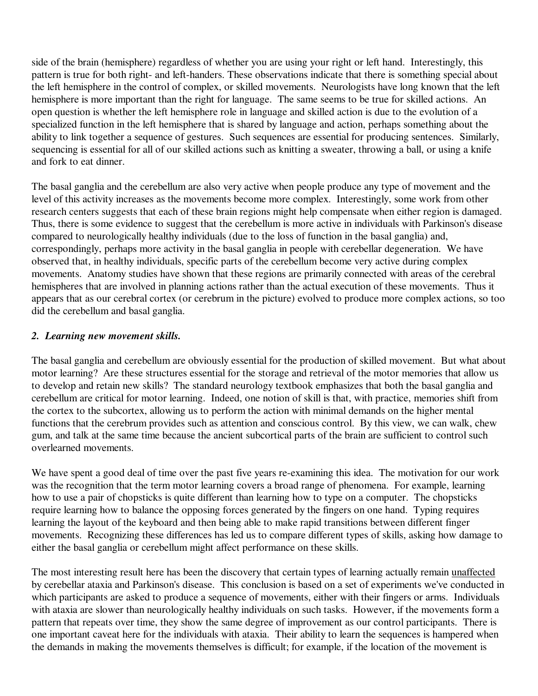side of the brain (hemisphere) regardless of whether you are using your right or left hand. Interestingly, this pattern is true for both right- and left-handers. These observations indicate that there is something special about the left hemisphere in the control of complex, or skilled movements. Neurologists have long known that the left hemisphere is more important than the right for language. The same seems to be true for skilled actions. An open question is whether the left hemisphere role in language and skilled action is due to the evolution of a specialized function in the left hemisphere that is shared by language and action, perhaps something about the ability to link together a sequence of gestures. Such sequences are essential for producing sentences. Similarly, sequencing is essential for all of our skilled actions such as knitting a sweater, throwing a ball, or using a knife and fork to eat dinner.

The basal ganglia and the cerebellum are also very active when people produce any type of movement and the level of this activity increases as the movements become more complex. Interestingly, some work from other research centers suggests that each of these brain regions might help compensate when either region is damaged. Thus, there is some evidence to suggest that the cerebellum is more active in individuals with Parkinson's disease compared to neurologically healthy individuals (due to the loss of function in the basal ganglia) and, correspondingly, perhaps more activity in the basal ganglia in people with cerebellar degeneration. We have observed that, in healthy individuals, specific parts of the cerebellum become very active during complex movements. Anatomy studies have shown that these regions are primarily connected with areas of the cerebral hemispheres that are involved in planning actions rather than the actual execution of these movements. Thus it appears that as our cerebral cortex (or cerebrum in the picture) evolved to produce more complex actions, so too did the cerebellum and basal ganglia.

#### *2. Learning new movement skills.*

The basal ganglia and cerebellum are obviously essential for the production of skilled movement. But what about motor learning? Are these structures essential for the storage and retrieval of the motor memories that allow us to develop and retain new skills? The standard neurology textbook emphasizes that both the basal ganglia and cerebellum are critical for motor learning. Indeed, one notion of skill is that, with practice, memories shift from the cortex to the subcortex, allowing us to perform the action with minimal demands on the higher mental functions that the cerebrum provides such as attention and conscious control. By this view, we can walk, chew gum, and talk at the same time because the ancient subcortical parts of the brain are sufficient to control such overlearned movements.

We have spent a good deal of time over the past five years re-examining this idea. The motivation for our work was the recognition that the term motor learning covers a broad range of phenomena. For example, learning how to use a pair of chopsticks is quite different than learning how to type on a computer. The chopsticks require learning how to balance the opposing forces generated by the fingers on one hand. Typing requires learning the layout of the keyboard and then being able to make rapid transitions between different finger movements. Recognizing these differences has led us to compare different types of skills, asking how damage to either the basal ganglia or cerebellum might affect performance on these skills.

The most interesting result here has been the discovery that certain types of learning actually remain unaffected by cerebellar ataxia and Parkinson's disease. This conclusion is based on a set of experiments we've conducted in which participants are asked to produce a sequence of movements, either with their fingers or arms. Individuals with ataxia are slower than neurologically healthy individuals on such tasks. However, if the movements form a pattern that repeats over time, they show the same degree of improvement as our control participants. There is one important caveat here for the individuals with ataxia. Their ability to learn the sequences is hampered when the demands in making the movements themselves is difficult; for example, if the location of the movement is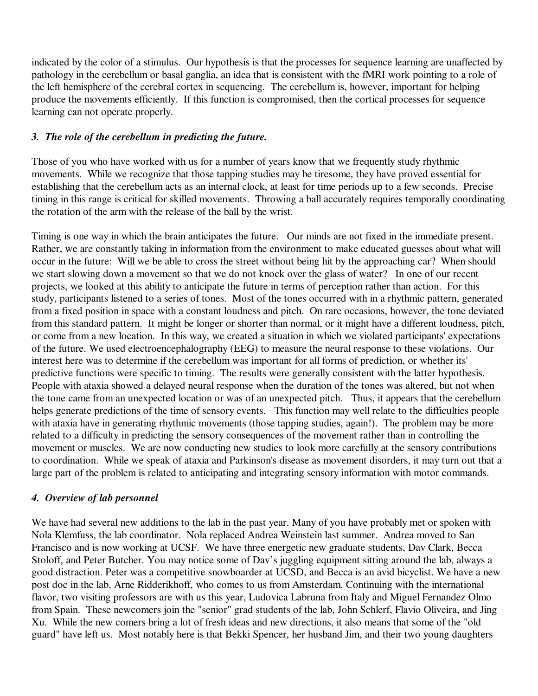indicated by the color of a stimulus. Our hypothesis is that the processes for sequence learning are unaffected by pathology in the cerebellum or basal ganglia, an idea that is consistent with the fMRI work pointing to a role of the left hemisphere of the cerebral cortex in sequencing. The cerebellum is, however, important for helping produce the movements efficiently. If this function is compromised, then the cortical processes for sequence learning can not operate properly.

## *3. The role of the cerebellum in predicting the future.*

Those of you who have worked with us for a number of years know that we frequently study rhythmic movements. While we recognize that those tapping studies may be tiresome, they have proved essential for establishing that the cerebellum acts as an internal clock, at least for time periods up to a few seconds. Precise timing in this range is critical for skilled movements. Throwing a ball accurately requires temporally coordinating the rotation of the arm with the release of the ball by the wrist.

Timing is one way in which the brain anticipates the future. Our minds are not fixed in the immediate present. Rather, we are constantly taking in information from the environment to make educated guesses about what will occur in the future: Will we be able to cross the street without being hit by the approaching car? When should we start slowing down a movement so that we do not knock over the glass of water? In one of our recent projects, we looked at this ability to anticipate the future in terms of perception rather than action. For this study, participants listened to a series of tones. Most of the tones occurred with in a rhythmic pattern, generated from a fixed position in space with a constant loudness and pitch. On rare occasions, however, the tone deviated from this standard pattern. It might be longer or shorter than normal, or it might have a different loudness, pitch, or come from a new location. In this way, we created a situation in which we violated participants' expectations of the future. We used electroencephalography (EEG) to measure the neural response to these violations. Our interest here was to determine if the cerebellum was important for all forms of prediction, or whether its' predictive functions were specific to timing. The results were generally consistent with the latter hypothesis. People with ataxia showed a delayed neural response when the duration of the tones was altered, but not when the tone came from an unexpected location or was of an unexpected pitch. Thus, it appears that the cerebellum helps generate predictions of the time of sensory events. This function may well relate to the difficulties people with ataxia have in generating rhythmic movements (those tapping studies, again!). The problem may be more related to a difficulty in predicting the sensory consequences of the movement rather than in controlling the movement or muscles. We are now conducting new studies to look more carefully at the sensory contributions to coordination. While we speak of ataxia and Parkinson's disease as movement disorders, it may turn out that a large part of the problem is related to anticipating and integrating sensory information with motor commands.

#### *4. Overview of lab personnel*

We have had several new additions to the lab in the past year. Many of you have probably met or spoken with Nola Klemfuss, the lab coordinator. Nola replaced Andrea Weinstein last summer. Andrea moved to San Francisco and is now working at UCSF. We have three energetic new graduate students, Dav Clark, Becca Stoloff, and Peter Butcher. You may notice some of Dav's juggling equipment sitting around the lab, always a good distraction. Peter was a competitive snowboarder at UCSD, and Becca is an avid bicyclist. We have a new post doc in the lab, Arne Ridderikhoff, who comes to us from Amsterdam. Continuing with the international flavor, two visiting professors are with us this year, Ludovica Labruna from Italy and Miguel Fernandez Olmo from Spain. These newcomers join the "senior" grad students of the lab, John Schlerf, Flavio Oliveira, and Jing Xu. While the new comers bring a lot of fresh ideas and new directions, it also means that some of the "old guard" have left us. Most notably here is that Bekki Spencer, her husband Jim, and their two young daughters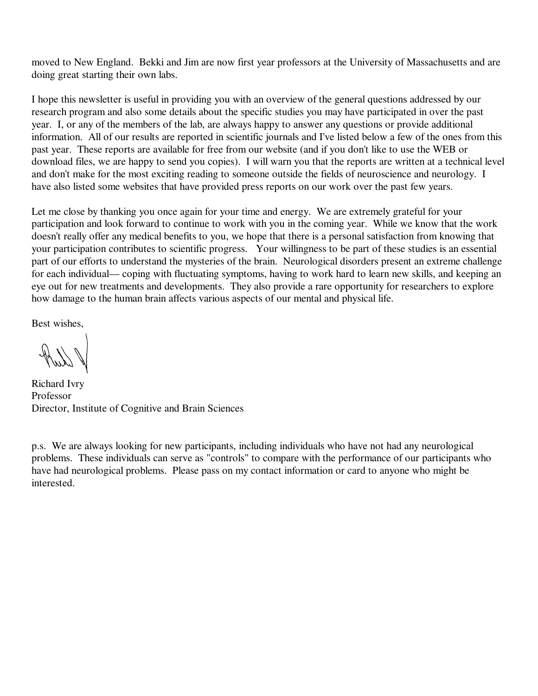moved to New England. Bekki and Jim are now first year professors at the University of Massachusetts and are doing great starting their own labs.

I hope this newsletter is useful in providing you with an overview of the general questions addressed by our research program and also some details about the specific studies you may have participated in over the past year. I, or any of the members of the lab, are always happy to answer any questions or provide additional information. All of our results are reported in scientific journals and I've listed below a few of the ones from this past year. These reports are available for free from our website (and if you don't like to use the WEB or download files, we are happy to send you copies). I will warn you that the reports are written at a technical level and don't make for the most exciting reading to someone outside the fields of neuroscience and neurology. I have also listed some websites that have provided press reports on our work over the past few years.

Let me close by thanking you once again for your time and energy. We are extremely grateful for your participation and look forward to continue to work with you in the coming year. While we know that the work doesn't really offer any medical benefits to you, we hope that there is a personal satisfaction from knowing that your participation contributes to scientific progress. Your willingness to be part of these studies is an essential part of our efforts to understand the mysteries of the brain. Neurological disorders present an extreme challenge for each individual— coping with fluctuating symptoms, having to work hard to learn new skills, and keeping an eye out for new treatments and developments. They also provide a rare opportunity for researchers to explore how damage to the human brain affects various aspects of our mental and physical life.

Best wishes,

Richard Ivry Professor Director, Institute of Cognitive and Brain Sciences

p.s. We are always looking for new participants, including individuals who have not had any neurological problems. These individuals can serve as "controls" to compare with the performance of our participants who have had neurological problems. Please pass on my contact information or card to anyone who might be interested.